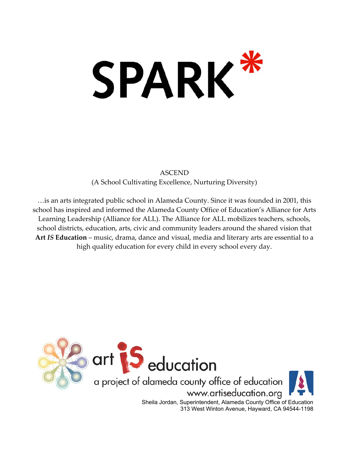# SPARK\*

ASCEND (A School Cultivating Excellence, Nurturing Diversity)

…is an arts integrated public school in Alameda County. Since it was founded in 2001, this school has inspired and informed the Alameda County Office of Education's Alliance for Arts Learning Leadership (Alliance for ALL). The Alliance for ALL mobilizes teachers, schools, school districts, education, arts, civic and community leaders around the shared vision that **Art** *IS* **Education** – music, drama, dance and visual, media and literary arts are essential to a high quality education for every child in every school every day.



313 West Winton Avenue, Hayward, CA 94544-1198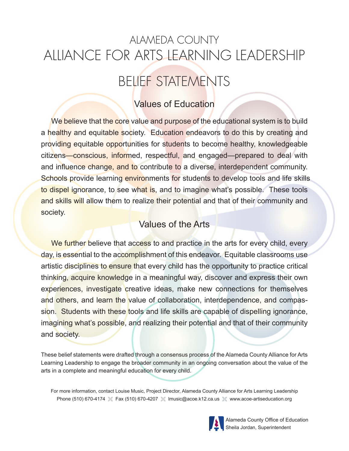# ALAMEDA COUNTY ALLIANCE FOR ARTS LEARNING LEADERSHIP

# BELIEF STATEMENTS

# Values of Education

We believe that the core value and purpose of the educational system is to build a healthy and equitable society. Education endeavors to do this by creating and providing equitable opportunities for students to become healthy, knowledgeable citizens—conscious, informed, respectful, and engaged—prepared to deal with and influence change, and to contribute to a diverse, interdependent community. Schools provide learning environments for students to develop tools and life skills to dispel ignorance, to see what is, and to imagine what's possible. These tools and skills will allow them to realize their potential and that of their community and society.

## Values of the Arts

We further believe that access to and practice in the arts for every child, every day, is essential to the accomplishment of this endeavor. Equitable classrooms use artistic disciplines to ensure that every child has the opportunity to practice critical thinking, acquire knowledge in a meaningful way, discover and express their own experiences, investigate creative ideas, make new connections for themselves and others, and learn the value of collaboration, interdependence, and compassion. Students with these tools and life skills are capable of dispelling ignorance, imagining what's possible, and realizing their potential and that of their community and society.

These belief statements were drafted through a consensus process of the Alameda County Alliance for Arts Learning Leadership to engage the broader community in an ongoing conversation about the value of the arts in a complete and meaningful education for every child.

For more information, contact Louise Music, Project Director, Alameda County Alliance for Arts Learning Leadership Phone (510) 670-4174  $\%$  Fax (510) 670-4207  $\%$  Imusic@acoe.k12.ca.us  $\%$  www.acoe-artiseducation.org



Alameda County Office of Education Sheila Jordan, Superintendent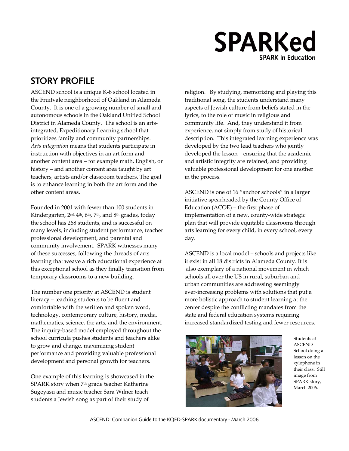# **SPARKed SPARK in Education**

## **STORY PROFILE**

ASCEND school is a unique K-8 school located in the Fruitvale neighborhood of Oakland in Alameda County. It is one of a growing number of small and autonomous schools in the Oakland Unified School District in Alameda County. The school is an artsintegrated, Expeditionary Learning school that prioritizes family and community partnerships. *Arts integration* means that students participate in instruction with objectives in an art form and another content area – for example math, English, or history – and another content area taught by art teachers, artists and/or classroom teachers. The goal is to enhance learning in both the art form and the other content areas.

Founded in 2001 with fewer than 100 students in Kindergarten, 2<sup>nd, 4th</sup>, 6<sup>th</sup>, 7<sup>th</sup>, and 8<sup>th</sup> grades, today the school has 268 students, and is successful on many levels, including student performance, teacher professional development, and parental and community involvement. SPARK witnesses many of these successes, following the threads of arts learning that weave a rich educational experience at this exceptional school as they finally transition from temporary classrooms to a new building.

The number one priority at ASCEND is student literacy – teaching students to be fluent and comfortable with the written and spoken word, technology, contemporary culture, history, media, mathematics, science, the arts, and the environment. The inquiry-based model employed throughout the school curricula pushes students and teachers alike to grow and change, maximizing student performance and providing valuable professional development and personal growth for teachers.

One example of this learning is showcased in the SPARK story when 7<sup>th</sup> grade teacher Katherine Sugeyasu and music teacher Sara Wilner teach students a Jewish song as part of their study of

religion. By studying, memorizing and playing this traditional song, the students understand many aspects of Jewish culture from beliefs stated in the lyrics, to the role of music in religious and community life. And, they understand it from experience, not simply from study of historical description. This integrated learning experience was developed by the two lead teachers who jointly developed the lesson – ensuring that the academic and artistic integrity are retained, and providing valuable professional development for one another in the process.

ASCEND is one of 16 "anchor schools" in a larger initiative spearheaded by the County Office of Education (ACOE) – the first phase of implementation of a new, county-wide strategic plan that will provide equitable classrooms through arts learning for every child, in every school, every day.

ASCEND is a local model – schools and projects like it exist in all 18 districts in Alameda County. It is also exemplary of a national movement in which schools all over the US in rural, suburban and urban communities are addressing seemingly ever-increasing problems with solutions that put a more holistic approach to student learning at the center despite the conflicting mandates from the state and federal education systems requiring increased standardized testing and fewer resources.



Students at ASCEND School doing a lesson on the xylophone in their class. Still image from SPARK story, March 2006.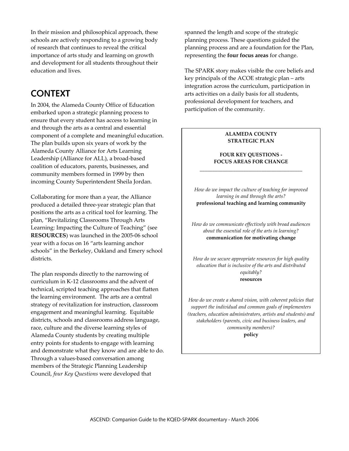In their mission and philosophical approach, these schools are actively responding to a growing body of research that continues to reveal the critical importance of arts study and learning on growth and development for all students throughout their education and lives.

## **CONTEXT**

In 2004, the Alameda County Office of Education embarked upon a strategic planning process to ensure that every student has access to learning in and through the arts as a central and essential component of a complete and meaningful education. The plan builds upon six years of work by the Alameda County Alliance for Arts Learning Leadership (Alliance for ALL), a broad-based coalition of educators, parents, businesses, and community members formed in 1999 by then incoming County Superintendent Sheila Jordan.

Collaborating for more than a year, the Alliance produced a detailed three-year strategic plan that positions the arts as a critical tool for learning. The plan, "Revitalizing Classrooms Through Arts Learning: Impacting the Culture of Teaching" (see **RESOURCES**) was launched in the 2005-06 school year with a focus on 16 "arts learning anchor schools" in the Berkeley, Oakland and Emery school districts.

The plan responds directly to the narrowing of curriculum in K-12 classrooms and the advent of technical, scripted teaching approaches that flatten the learning environment. The arts are a central strategy of revitalization for instruction, classroom engagement and meaningful learning. Equitable districts, schools and classrooms address language, race, culture and the diverse learning styles of Alameda County students by creating multiple entry points for students to engage with learning and demonstrate what they know and are able to do. Through a values-based conversation among members of the Strategic Planning Leadership Council, *four Key Questions* were developed that

spanned the length and scope of the strategic planning process. These questions guided the planning process and are a foundation for the Plan, representing the **four focus areas** for change.

The SPARK story makes visible the core beliefs and key principals of the ACOE strategic plan – arts integration across the curriculum, participation in arts activities on a daily basis for all students, professional development for teachers, and participation of the community.

#### **ALAMEDA COUNTY STRATEGIC PLAN**

#### **FOUR KEY QUESTIONS - FOCUS AREAS FOR CHANGE**  *\_\_\_\_\_\_\_\_\_\_\_\_\_\_\_\_\_\_\_\_\_\_\_\_\_\_\_\_\_\_\_\_\_\_\_\_\_\_\_\_*

*How do we impact the culture of teaching for improved learning in and through the arts?*  **professional teaching and learning community**

*How do we communicate effectively with broad audiences about the essential role of the arts in learning?*  **communication for motivating change** 

*How do we secure appropriate resources for high quality education that is inclusive of the arts and distributed equitably?*  **resources** 

*How do we create a shared vision, with coherent policies that support the individual and common goals of implementers (teachers, education administrators, artists and students) and stakeholders (parents, civic and business leaders, and community members)?*  **policy**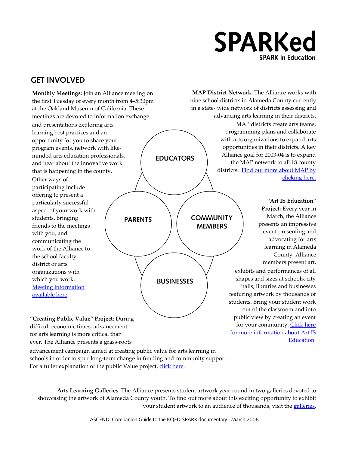# **SPARKed SPARK in Education**

## **GET INVOLVED**

**Monthly Meetings**: Join an Alliance meeting on the first Tuesday of every month from 4–5:30pm at the Oakland Museum of California. These meetings are devoted to information exchange and presentations exploring arts learning best practices and an opportunity for you to share your program events, network with likeminded arts education professionals, and hear about the innovative work that is happening in the county.

Other ways of participating include offering to present a particularly successful aspect of your work with students, bringing friends to the meetings with you, and communicating the work of the Alliance to the school faculty, district or arts organizations with which you work. [Meeting information](http://www.artiseducation.org/aall/aall.htm)  [available here](http://www.artiseducation.org/aall/aall.htm).

**EDUCATORS** 

PARENTS  $\left\langle \right\rangle /$  COMMUNITY

**BUSINESSES** 

**MEMBERS** 

 MAP districts create arts teams, programming plans and collaborate with arts organizations to expand arts opportunities in their districts. A key Alliance goal for 2003-04 is to expand the MAP network to all 18 county districts. [Find out more about MAP by](http://www.artiseducation.org/MAP/MAP.htm)  [clicking here.](http://www.artiseducation.org/MAP/MAP.htm) **MAP District Network**: The Alliance works with nine school districts in Alameda County currently in a state- wide network of districts assessing and advancing arts learning in their districts.

> **"Art IS Education" Project**: Every year in March, the Alliance presents an impressive event presenting and advocating for arts learning in Alameda County. Alliance members present art. exhibits and performances of all shapes and sizes at schools, city halls, libraries and businesses featuring artwork by thousands of students. Bring your student work out of the classroom and into public view by creating an event for your community. Click here [for more information about Art IS](http://www.artiseducation.org/)  [Education.](http://www.artiseducation.org/)

**"Creating Public Value" Project**: During difficult economic times, advancement for arts learning is more critical than ever. The Alliance presents a grass-roots

advancement campaign aimed at creating public value for arts learning in schools in order to spur long-term change in funding and community support. For a fuller explanation of the public Value project, [click here.](http://www.artiseducation.org/artised/action.htm)

**Arts Learning Galleries**: The Alliance presents student artwork year-round in two galleries devoted to showcasing the artwork of Alameda County youth. To find out more about this exciting opportunity to exhibit your student artwork to an audience of thousands, visit the [galleries](http://www.artiseducation.org/galleries.htm).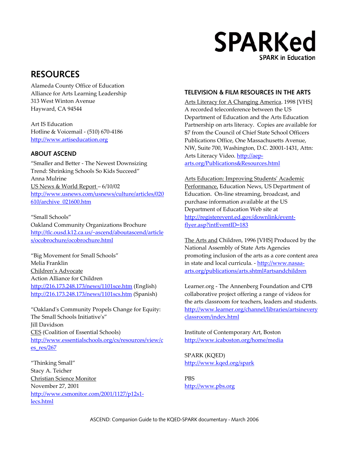# **SPARKed SPARK in Education**

## **RESOURCES**

Alameda County Office of Education Hayward, CA 94544

Art IS Education Hotline & Voicemail - (510) 670-4186 [http://www.artiseducation.org](http://www.artiseducation.org/)

#### **ABOUT ASCEND**

"Smaller and Better - The Newest Downsizing Trend: Shrinking Schools So Kids Succeed" Anna Mulrine **Arts Education: Improving Students' Academic** US News & World Report – 6/10/02 [http://www.usnews.com/usnews/culture/articles/020](http://www.usnews.com/usnews/culture/articles/020610/archive_021600.htm) [610/archive\\_021600.htm](http://www.usnews.com/usnews/culture/articles/020610/archive_021600.htm)

"Small Schools" Oakland Community Organizations Brochure [http://tlc.ousd.k12.ca.us/~ascend/aboutascend/article](http://tlc.ousd.k12.ca.us/~ascend/aboutascend/articles/ocobrochure/ocobrochure.html) [s/ocobrochure/ocobrochure.html](http://tlc.ousd.k12.ca.us/~ascend/aboutascend/articles/ocobrochure/ocobrochure.html) The Arts and Children, 1996 [VHS] Produced by the

"Big Movement for Small Schools" Melia Franklin Children's Advocate Action Alliance for Children <http://216.173.248.173/news/1101scs.htm>(Spanish)

"Oakland's Community Propels Change for Equity: The Small Schools Initiative's" Jill Davidson CES (Coalition of Essential Schools) Institute of Contemporary Art, Boston [http://www.essentialschools.org/cs/resources/view/c](http://www.essentialschools.org/cs/resources/view/ces_res/267) [es\\_res/267](http://www.essentialschools.org/cs/resources/view/ces_res/267)

"Thinking Small" <http://www.kqed.org/spark> Stacy A. Teicher Christian Science Monitor PBS November 27, 2001 [http://www.pbs.org](http://www.pbs.org/) [http://www.csmonitor.com/2001/1127/p12s1](http://www.csmonitor.com/2001/1127/p12s1-lecs.html) [lecs.html](http://www.csmonitor.com/2001/1127/p12s1-lecs.html)

### Alliance for Arts Learning Leadership **TELEVISION & FILM RESOURCES IN THE ARTS**

313 West Winton Avenue Arts Literacy for A Changing America. 1998 [VHS] A recorded teleconference between the US Department of Education and the Arts Education Partnership on arts literacy. Copies are available for \$7 from the Council of Chief State School Officers Publications Office, One Massachusetts Avenue, NW, Suite 700, Washington, D.C. 20001-1431, Attn: Arts Literacy Video. [http://aep](http://aep-arts.org/Publications&Resources.html)[arts.org/Publications&Resources.html](http://aep-arts.org/Publications&Resources.html)

> Performance, Education News, US Department of Education. On-line streaming, broadcast, and purchase information available at the US Department of Education Web site at [http://registerevent.ed.gov/downlink/event](http://registerevent.ed.gov/downlink/event-flyer.asp?intEventID=183)[flyer.asp?intEventID=183](http://registerevent.ed.gov/downlink/event-flyer.asp?intEventID=183)

National Assembly of State Arts Agencies promoting inclusion of the arts as a core content area in state and local curricula. - [http://www.nasaa](http://www.nasaa-arts.org/publications/arts.shtml)[arts.org/publications/arts.shtml#artsandchildren](http://www.nasaa-arts.org/publications/arts.shtml) 

<http://216.173.248.173/news/1101sce.htm> (English) Learner.org - The Annenberg Foundation and CPB collaborative project offering a range of videos for the arts classroom for teachers, leaders and students. [http://www.learner.org/channel/libraries/artsinevery](http://www.learner.org/channel/libraries/artsineveryclassroom/index.html) [classroom/index.html](http://www.learner.org/channel/libraries/artsineveryclassroom/index.html) 

<http://www.icaboston.org/home/media>

SPARK (KQED)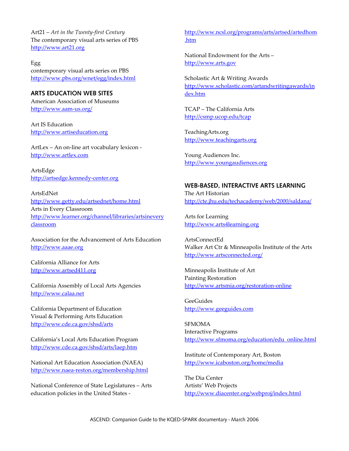Art21 – *Art in the Twenty-first Century*  The contemporary visual arts series of PBS [http://www.art21.org](http://www.art21.org/)

Egg contemporary visual arts series on PBS <http://www.pbs.org/wnet/egg/index.html>

**ARTS EDUCATION WEB SITES**  American Association of Museums <http://www.aam-us.org/>

Art IS Education [http://www.artiseducation.org](http://www.artiseducation.org/)

ArtLex – An on-line art vocabulary lexicon [http://www.artlex.com](http://www.artlex.com/)

ArtsEdge [http://artsedge.kennedy-center.org](http://artsedge.kennedy-center.org/) 

ArtsEdNet <http://www.getty.edu/artsednet/home.html> Arts in Every Classroom [http://www.learner.org/channel/libraries/artsinevery](http://www.learner.org/channel/libraries/artsineveryclassroom) [classroom](http://www.learner.org/channel/libraries/artsineveryclassroom)

Association for the Advancement of Arts Education [http://www.aaae.org](http://www.aaae.org/)

California Alliance for Arts [http://www.artsed411.org](http://www.artsed411.org/) 

California Assembly of Local Arts Agencies [http://www.calaa.net](http://www.calaa.net/) 

California Department of Education Visual & Performing Arts Education <http://www.cde.ca.gov/shsd/arts>

California's Local Arts Education Program <http://www.cde.ca.gov/shsd/arts/laep.htm>

National Art Education Association (NAEA) <http://www.naea-reston.org/membership.html>

National Conference of State Legislatures – Arts education policies in the United States -

[http://www.ncsl.org/programs/arts/artsed/artedhom](http://www.ncsl.org/programs/arts/artsed/artedhom.htm) [.htm](http://www.ncsl.org/programs/arts/artsed/artedhom.htm)

National Endowment for the Arts – [http://www.arts.gov](http://www.arts.gov/)

Scholastic Art & Writing Awards [http://www.scholastic.com/artandwritingawards/in](http://www.scholastic.com/artandwritingawards/index.htm) [dex.htm](http://www.scholastic.com/artandwritingawards/index.htm) 

TCAP – The California Arts <http://csmp.ucop.edu/tcap>

TeachingArts.org [http://www.teachingarts.org](http://www.teachingarts.org/)

Young Audiences Inc. [http://www.youngaudiences.org](http://www.yabayarea.org/)

#### **WEB-BASED, INTERACTIVE ARTS LEARNING**

The Art Historian <http://cte.jhu.edu/techacademy/web/2000/saldana/>

Arts for Learning [http://www.arts4learning.org](http://www.arts4learning.org/)

ArtsConnectEd Walker Art Ctr & Minneapolis Institute of the Arts <http://www.artsconnected.org/>

Minneapolis Institute of Art Painting Restoration <http://www.artsmia.org/restoration-online>

**GeeGuides** [http://www.geeguides.com](http://www.geeguides.com/) 

**SFMOMA** Interactive Programs [http://www.sfmoma.org/education/edu\\_online.html](http://www.sfmoma.org/education/edu_online.html)

Institute of Contemporary Art, Boston <http://www.icaboston.org/home/media>

The Dia Center Artists' Web Projects <http://www.diacenter.org/webproj/index.html>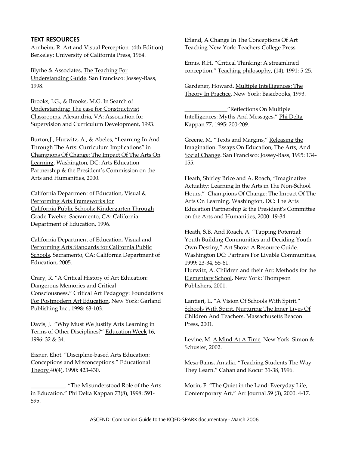Arnheim, R. Art and Visual Perception*. (*4th Edition) Teaching New York: Teachers College Press. Berkeley: University of California Press, 1964.

Understanding Guide. San Francisco: Jossey-Bass, 1998. Gardener, Howard. Multiple Intelligences; The

Brooks, J.G., & Brooks, M.G. In Search of Understanding: The case for Constructivist Classrooms*.* Alexandria, VA: Association for Supervision and Curriculum Development, 1993.

Burton,J., Hurwitz, A., & Abeles, "Learning In And Through The Arts: Curriculum Implications" in Champions Of Change: The Impact Of The Arts On Learning. Washington, DC: Arts Education Partnership & the President's Commission on the Arts and Humanities, 2000.

California Department of Education, Visual & Performing Arts Frameworks for California Public Schools: Kindergarten Through Grade Twelve. Sacramento, CA: California Department of Education, 1996.

California Department of Education, Visual and Performing Arts Standards for California Public Schools. Sacramento, CA: California Department of Education, 2005.

Crary, R. "A Critical History of Art Education: Dangerous Memories and Critical Consciousness." Critical Art Pedagogy: Foundations For Postmodern Art Education. New York: Garland Publishing Inc., 1998: 63-103.

Davis, J. "Why Must We Justify Arts Learning in Press, 2001. Terms of Other Disciplines?" Education Week 16, 1996: 32 & 34. Levine, M. A Mind At A Time. New York: Simon &

Eisner, Eliot. "Discipline-based Arts Education: Conceptions and Misconceptions." Educational Theory 40(4), 1990: 423-430.

\_\_\_\_\_\_\_\_\_\_\_\_. "The Misunderstood Role of the Arts in Education." Phi Delta Kappan 73(8), 1998: 591- 595.

**TEXT RESOURCES** Efland, A Change In The Conceptions Of Art

Ennis, R.H. "Critical Thinking: A streamlined Blythe & Associates, The Teaching For conception." Teaching philosophy, (14), 1991: 5-25.

Theory In Practice. New York: Basicbooks, 1993.

\_\_\_\_\_\_\_\_\_\_\_\_\_\_\_"Reflections On Multiple Intelligences: Myths And Messages," Phi Delta Kappan 77, 1995: 200-209.

Greene, M. "Texts and Margins," Releasing the Imagination: Essays On Education, The Arts, And Social Change. San Francisco: Jossey-Bass, 1995: 134- 155.

Heath, Shirley Brice and A. Roach, "Imaginative Actuality: Learning In the Arts in The Non-School Hours." Champions Of Change: The Impact Of The Arts On Learning. Washington, DC: The Arts Education Partnership & the President's Committee on the Arts and Humanities, 2000: 19-34.

Heath, S.B. And Roach, A. "Tapping Potential: Youth Building Communities and Deciding Youth Own Destiny," Art Show: A Resource Guide. Washington DC: Partners For Livable Communities, 1999: 23-34, 55-61. Hurwitz, A. Children and their Art: Methods for the Elementary School. New York: Thompson Publishers, 2001.

Lantieri, L. "A Vision Of Schools With Spirit." Schools With Spirit, Nurturing The Inner Lives Of Children And Teachers. Massachusetts Beacon

Schuster, 2002.

Mesa-Bains, Amalia. "Teaching Students The Way They Learn." Cahan and Kocur 31-38, 1996.

Morin, F. "The Quiet in the Land: Everyday Life, Contemporary Art," Art Journal 59 (3), 2000: 4-17.